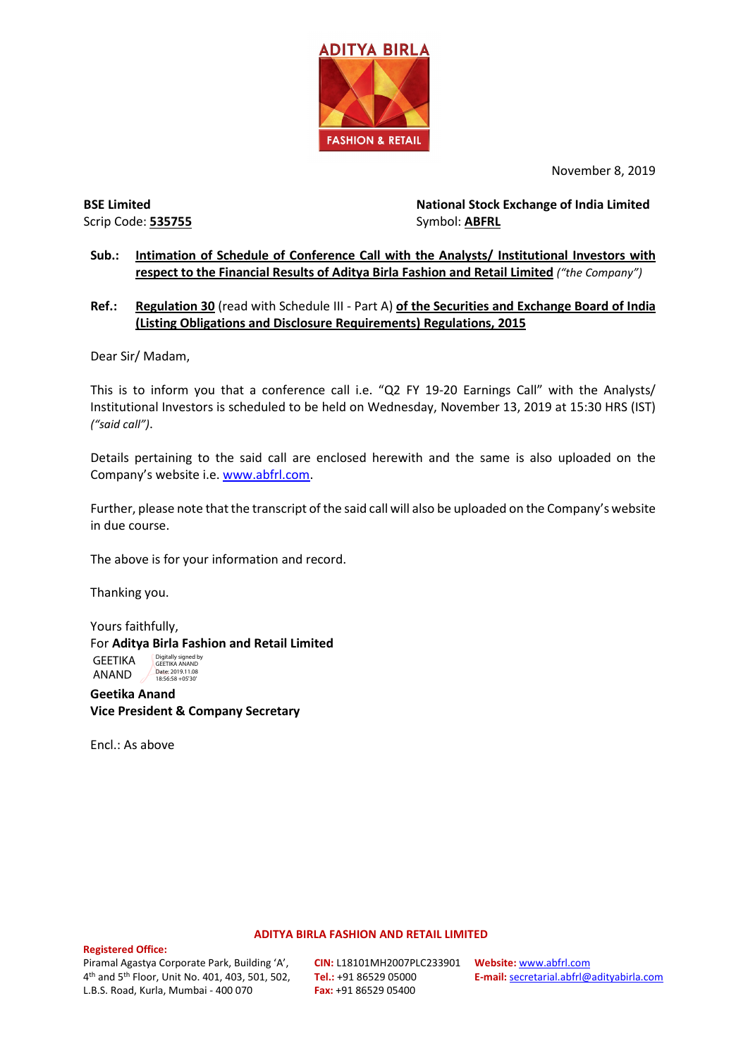

November 8, 2019

Scrip Code: **535755** Symbol: **ABFRL** 

**BSE Limited National Stock Exchange of India Limited**

### **Sub.: Intimation of Schedule of Conference Call with the Analysts/ Institutional Investors with respect to the Financial Results of Aditya Birla Fashion and Retail Limited** *("the Company")*

### **Ref.: Regulation 30** (read with Schedule III - Part A) **of the Securities and Exchange Board of India (Listing Obligations and Disclosure Requirements) Regulations, 2015**

Dear Sir/ Madam,

This is to inform you that a conference call i.e. "Q2 FY 19-20 Earnings Call" with the Analysts/ Institutional Investors is scheduled to be held on Wednesday, November 13, 2019 at 15:30 HRS (IST) *("said call")*.

Details pertaining to the said call are enclosed herewith and the same is also uploaded on the Company's website i.e[. www.abfrl.com.](http://www.abfrl.com/)

Further, please note that the transcript of the said call will also be uploaded on the Company's website in due course.

The above is for your information and record.

Thanking you.

Yours faithfully, For **Aditya Birla Fashion and Retail Limited** GEETIKA ANAND Digitally signed by GEETIKA ANAND Date: 2019.11.08 18:56:58 +05'30'

**Geetika Anand Vice President & Company Secretary**

Encl.: As above

#### **ADITYA BIRLA FASHION AND RETAIL LIMITED**

**Registered Office:** 

Piramal Agastya Corporate Park, Building 'A', 4th and 5th Floor, Unit No. 401, 403, 501, 502, L.B.S. Road, Kurla, Mumbai - 400 070

**CIN:** L18101MH2007PLC233901 **Tel.:** +91 86529 05000 **Fax:** +91 86529 05400

**Website:** [www.abfrl.com](http://www.abfrl.com/) **E-mail:** [secretarial.abfrl@adityabirla.com](mailto:secretarial.abfrl@adityabirla.com)